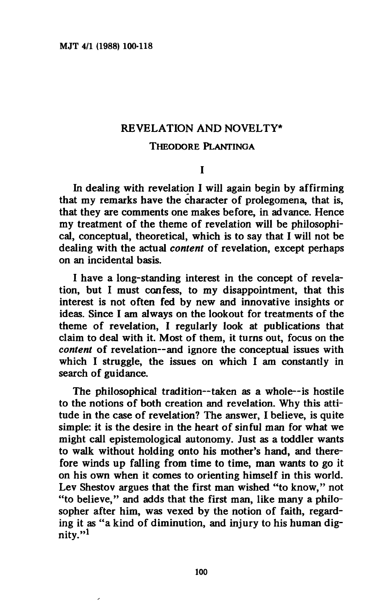### **REVELATION AND NOVELTY\***

#### **THEODORE PLANTINGA**

# **I**

**In dealing with revelation I will again begin by affirming that my remarks have the character of prolegomena, that is, that they are comments one makes before, in advance. Hence my treatment of the theme of revelation will be philosophical, conceptual, theoretical, which is to say that I will not be dealing with the actual** *content* **of revelation, except perhaps on an incidental basis.** 

**I have a long-standing interest in the concept of revelation, but I must confess, to my disappointment, that this interest is not often fed by new and innovative insights or ideas. Since I am always on the lookout for treatments of the theme of revelation, I regularly look at publications that claim to deal with it. Most of them, it turns out, focus on the**  *content* **of revelation—and ignore the conceptual issues with which I struggle, the issues on which I am constantly in search of guidance.** 

**The philosophical tradition—taken as a whole—is hostile to the notions of both creation and revelation. Why this attitude in the case of revelation? The answer, I believe, is quite simple: it is the desire in the heart of sinful man for what we might call epistemologica! autonomy. Just as a toddler wants to walk without holding onto his mother's hand, and therefore winds up falling from time to time, man wants to go it on his own when it comes to orienting himself in this world. Lev Shestov argues that the first man wished "to know," not "to believe," and adds that the first man, like many a philosopher after him, was vexed by the notion of faith, regarding it as "a kind of diminution, and injury to his human dignity."<sup>1</sup>**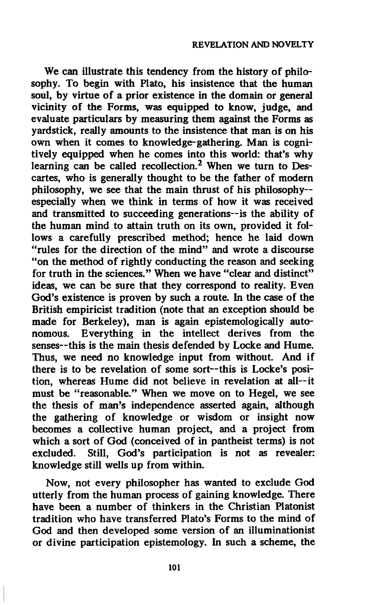**We can illustrate this tendency from the history of philosophy. To begin with Plato, his insistence that the human soul, by virtue of a prior existence in the domain or general vicinity of the Forms, was equipped to know, judge, and evaluate particulars by measuring them against the Forms as yardstick, really amounts to the insistence that man is on his own when it comes to knowledge-gathering. Man is cognitively equipped when he comes into this world: that's why learning can be called recollection.<sup>2</sup> When we turn to Descartes, who is generally thought to be the father of modern philosophy, we see that the main thrust of his philosophy especially when we think in terms of how it was received and transmitted to succeeding generations—is the ability of the human mind to attain truth on its own, provided it follows a carefully prescribed method; hence he laid down "rules for the direction of the mind" and wrote a discourse "on the method of rightly conducting the reason and seeking for truth in the sciences." When we have "clear and distinct" ideas, we can be sure that they correspond to reality. Even God's existence is proven by such a route. In the case of the British empiricist tradition (note that an exception should be made for Berkeley), man is again epistemologically autonomous. Everything in the intellect derives from the senses—this is the main thesis defended by Locke and Hume. Thus, we need no knowledge input from without. And if there is to be revelation of some sort—this is Locke's position, whereas Hume did not believe in revelation at all—it must be "reasonable." When we move on to Hegel, we see the thesis of man's independence asserted again, although the gathering of knowledge or wisdom or insight now becomes a collective human project, and a project from which a sort of God (conceived of in pantheist terms) is not excluded. Still, God's participation is not as revealer: knowledge still wells up from within.** 

**Now, not every philosopher has wanted to exclude God utterly from the human process of gaining knowledge. There have been a number of thinkers in the Christian Platonist tradition who have transferred Plato's Forms to the mind of God and then developed some version of an illuminationist or divine participation epistemology. In such a scheme, the**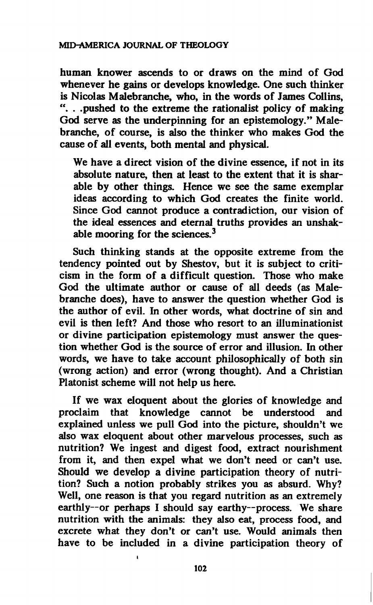**human knower ascends to or draws on the mind of God whenever he gains or develops knowledge. One such thinker is Nicolas Malebranche, who, in the words of James Collins, ". . .pushed to the extreme the rationalist policy of making God serve as the underpinning for an epistemology." Malebranche, of course, is also the thinker who makes God the cause of all events, both mental and physical.** 

**We have a direct vision of the divine essence, if not in its absolute nature, then at least to the extent that it is sharable by other things. Hence we see the same exemplar ideas according to which God creates the finite world. Since God cannot produce a contradiction, our vision of the ideal essences and eternal truths provides an unshakable mooring for the sciences.<sup>3</sup>**

**Such thinking stands at the opposite extreme from the tendency pointed out by Shestov, but it is subject to criticism in the form of a difficult question. Those who make God the ultimate author or cause of all deeds (as Malebranche does), have to answer the question whether God is the author of evil. In other words, what doctrine of sin and evil is then left? And those who resort to an illuminationist or divine participation epistemology must answer the question whether God is the source of error and illusion. In other words, we have to take account philosophically of both sin (wrong action) and error (wrong thought). And a Christian Platonist scheme will not help us here.** 

**If we wax eloquent about the glories of knowledge and proclaim that knowledge cannot be understood and explained unless we pull God into the picture, shouldn't we also wax eloquent about other marvelous processes, such as nutrition? We ingest and digest food, extract nourishment from it, and then expel what we don't need or can't use. Should we develop a divine participation theory of nutrition? Such a notion probably strikes you as absurd. Why? Well, one reason is that you regard nutrition as an extremely earthly—or perhaps I should say earthy—process. We share nutrition with the animals: they also eat, process food, and excrete what they don't or can't use. Would animals then have to be included in a divine participation theory of**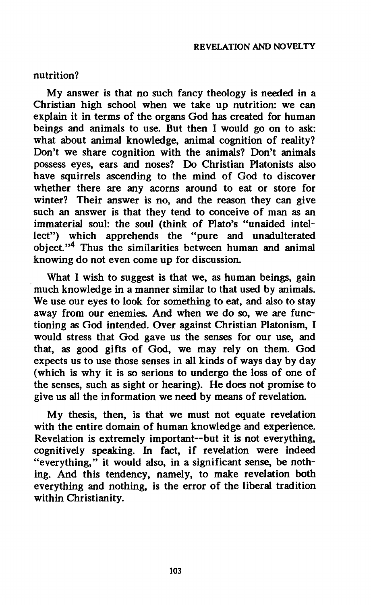# **nutrition?**

**My answer is that no such fancy theology is needed in a Christian high school when we take up nutrition: we can explain it in terms of the organs God has created for human beings and animals to use. But then I would go on to ask: what about animal knowledge, animal cognition of reality? Don't we share cognition with the animals? Don't animals possess eyes, ears and noses? Do Christian Platonists also have squirrels ascending to the mind of God to discover whether there are any acorns around to eat or store for winter? Their answer is no, and the reason they can give such an answer is that they tend to conceive of man as an immaterial soul: the soul (think of Plato's "unaided intellect") which apprehends the "pure and unadulterated object."<sup>4</sup> Thus the similarities between human and animal knowing do not even come up for discussion.** 

**What I wish to suggest is that we, as human beings, gain much knowledge in a manner similar to that used by animals. We use our eyes to look for something to eat, and also to stay away from our enemies. And when we do so, we are functioning as God intended. Over against Christian Platonism, I would stress that God gave us the senses for our use, and that, as good gifts of God, we may rely on them. God expects us to use those senses in all kinds of ways day by day (which is why it is so serious to undergo the loss of one of the senses, such as sight or hearing). He does not promise to give us all the information we need by means of revelation.** 

**My thesis, then, is that we must not equate revelation with the entire domain of human knowledge and experience. Revelation is extremely important—but it is not everything, cognitively speaking. In fact, if revelation were indeed "everything," it would also, in a significant sense, be nothing. And this tendency, namely, to make revelation both everything and nothing, is the error of the liberal tradition within Christianity.**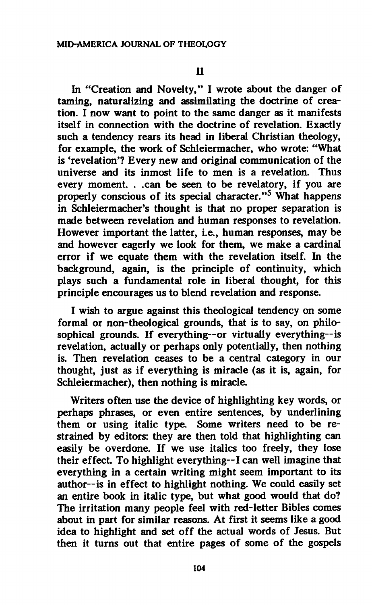**In "Creation and Novelty," I wrote about the danger of taming, naturalizing and assimilating the doctrine of creation. I now want to point to the same danger as it manifests itself in connection with the doctrine of revelation. Exactly such a tendency rears its head in liberal Christian theology, for example, the work of Schleiermacher, who wrote: "What is 'revelation'? Every new and original communication of the universe and its inmost life to men is a revelation. Thus every moment. . .can be seen to be revelatory, if you are properly conscious of its special character."<sup>5</sup> What happens in Schleiermacher's thought is that no proper separation is made between revelation and human responses to revelation. However important the latter, i.e., human responses, may be and however eagerly we look for them, we make a cardinal error if we equate them with the revelation itself. In the background, again, is the principle of continuity, which plays such a fundamental role in liberal thought, for this principle encourages us to blend revelation and response.** 

**I wish to argue against this theological tendency on some formal or non-theological grounds, that is to say, on philosophical grounds. If everything—or virtually everything—is revelation, actually or perhaps only potentially, then nothing is. Then revelation ceases to be a central category in our thought, just as if everything is miracle (as it is, again, for Schleiermacher), then nothing is miracle.** 

**Writers often use the device of highlighting key words, or perhaps phrases, or even entire sentences, by underlining them or using italic type. Some writers need to be restrained by editors: they are then told that highlighting can easily be overdone. If we use italics too freely, they lose their effect. To highlight everything—I can well imagine that everything in a certain writing might seem important to its author—is in effect to highlight nothing. We could easily set an entire book in italic type, but what good would that do? The irritation many people feel with red-letter Bibles comes about in part for similar reasons. At first it seems like a good idea to highlight and set off the actual words of Jesus. But then it turns out that entire pages of some of the gospels**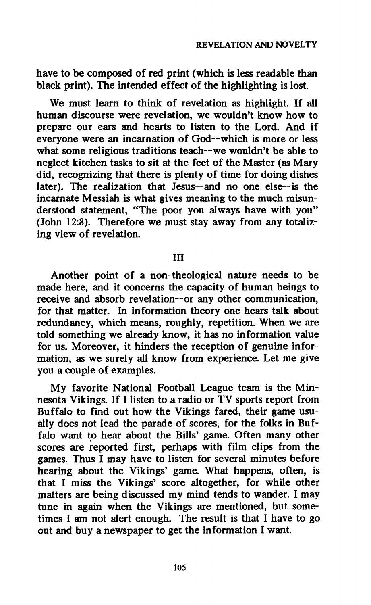**have to be composed of red print (which is less readable than black print). The intended effect of the highlighting is lost.** 

**We must learn to think of revelation as highlight. If all human discourse were revelation, we wouldn't know how to prepare our ears and hearts to listen to the Lord. And if everyone were an incarnation of God—which is more or less what some religious traditions teach—we wouldn't be able to neglect kitchen tasks to sit at the feet of the Master (as Mary did, recognizing that there is plenty of time for doing dishes later). The realization that Jesus—and no one else—is the incarnate Messiah is what gives meaning to the much misunderstood statement, "The poor you always have with you" (John 12:8). Therefore we must stay away from any totalizing view of revelation.** 

# **Ill**

**Another point of a non-theological nature needs to be made here, and it concerns the capacity of human beings to receive and absorb revelation—or any other communication, for that matter. In information theory one hears talk about redundancy, which means, roughly, repetition. When we are told something we already know, it has no information value for us. Moreover, it hinders the reception of genuine information, as we surely all know from experience. Let me give you a couple of examples.** 

**My favorite National Football League team is the Minnesota Vikings. If I listen to a radio or TV sports report from Buffalo to find out how the Vikings fared, their game usually does not lead the parade of scores, for the folks in Buffalo want to hear about the Bills' game. Often many other scores are reported first, perhaps with film clips from the games. Thus I may have to listen for several minutes before hearing about the Vikings' game. What happens, often, is that I miss the Vikings' score altogether, for while other matters are being discussed my mind tends to wander. I may tune in again when the Vikings are mentioned, but sometimes I am not alert enough. The result is that I have to go out and buy a newspaper to get the information I want.**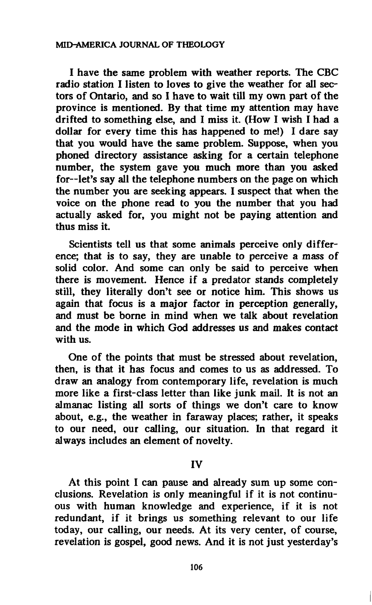**I have the same problem with weather reports. The CBC radio station I listen to loves to give the weather for all sectors of Ontario, and so I have to wait till my own part of the province is mentioned. By that time my attention may have drifted to something else, and I miss it. (How I wish I had a dollar for every time this has happened to me!) I dare say that you would have the same problem. Suppose, when you phoned directory assistance asking for a certain telephone number, the system gave you much more than you asked for—let's say all the telephone numbers on the page on which the number you are seeking appears. I suspect that when the voice on the phone read to you the number that you had actually asked for, you might not be paying attention and thus miss it.** 

**Scientists tell us that some animals perceive only difference; that is to say, they are unable to perceive a mass of solid color. And some can only be said to perceive when there is movement. Hence if a predator stands completely still, they literally don't see or notice him. This shows us again that focus is a major factor in perception generally, and must be borne in mind when we talk about revelation and the mode in which God addresses us and makes contact with us.** 

**One of the points that must be stressed about revelation, then, is that it has focus and comes to us as addressed. To draw an analogy from contemporary life, revelation is much more like a first-class letter than like junk mail. It is not an almanac listing all sorts of things we don't care to know about, e.g., the weather in faraway places; rather, it speaks to our need, our calling, our situation. In that regard it always includes an element of novelty.** 

### **IV**

**At this point I can pause and already sum up some conclusions. Revelation is only meaningful if it is not continuous with human knowledge and experience, if it is not redundant, if it brings us something relevant to our life today, our calling, our needs. At its very center, of course, revelation is gospel, good news. And it is not just yesterday's**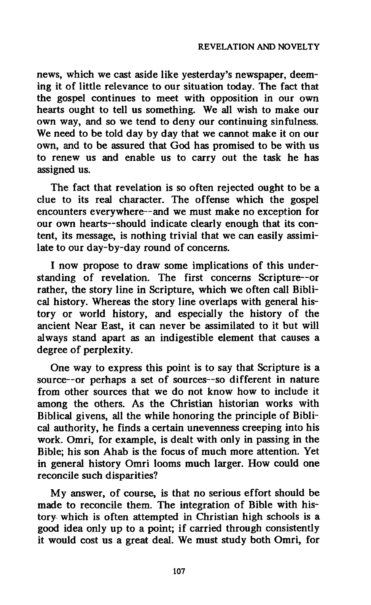**news, which we cast aside like yesterday's newspaper, deeming it of little relevance to our situation today. The fact that the gospel continues to meet with opposition in our own hearts ought to tell us something. We all wish to make our own way, and so we tend to deny our continuing sinfulness. We need to be told day by day that we cannot make it on our own, and to be assured that God has promised to be with us to renew us and enable us to carry out the task he has assigned us.** 

**The fact that revelation is so often rejected ought to be a clue to its real character. The offense which the gospel encounters everywhere—and we must make no exception for our own hearts—should indicate clearly enough that its content, its message, is nothing trivial that we can easily assimilate to our day-by-day round of concerns.** 

**I now propose to draw some implications of this understanding of revelation. The first concerns Scripture—or rather, the story line in Scripture, which we often call Biblical history. Whereas the story line overlaps with general history or world history, and especially the history of the ancient Near East, it can never be assimilated to it but will always stand apart as an indigestible element that causes a degree of perplexity.** 

**One way to express this point is to say that Scripture is a source—or perhaps a set of sources—so different in nature from other sources that we do not know how to include it among the others. As the Christian historian works with Biblical givens, all the while honoring the principle of Biblical authority, he finds a certain unevenness creeping into his work. Omri, for example, is dealt with only in passing in the Bible; his son Ahab is the focus of much more attention. Yet in general history Omri looms much larger. How could one reconcile such disparities?** 

**My answer, of course, is that no serious effort should be made to reconcile them. The integration of Bible with history which is often attempted in Christian high schools is a good idea only up to a point; if carried through consistently it would cost us a great deal. We must study both Omri, for**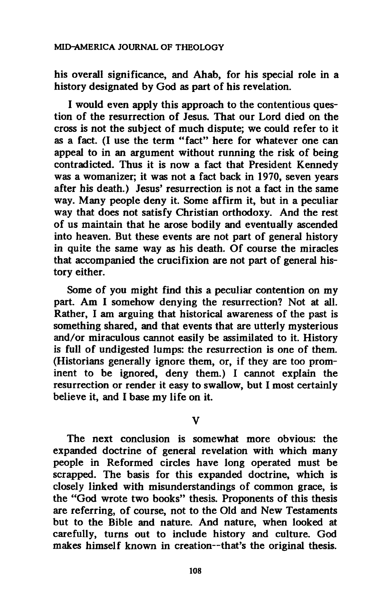**his overall significance, and Ahab, for his special role in a history designated by God as part of his revelation.** 

**I would even apply this approach to the contentious question of the resurrection of Jesus. That our Lord died on the cross is not the subject of much dispute; we could refer to it as a fact. (I use the term "fact" here for whatever one can appeal to in an argument without running the risk of being contradicted. Thus it is now a fact that President Kennedy was a womanizer; it was not a fact back in 1970, seven years after his death.) Jesus' resurrection is not a fact in the same way. Many people deny it. Some affirm it, but in a peculiar way that does not satisfy Christian orthodoxy. And the rest of us maintain that he arose bodily and eventually ascended into heaven. But these events are not part of general history in quite the same way as his death. Of course the miracles that accompanied the crucifixion are not part of general history either.** 

**Some of you might find this a peculiar contention on my part. Am I somehow denying the resurrection? Not at all. Rather, I am arguing that historical awareness of the past is something shared, and that events that are utterly mysterious and/or miraculous cannot easily be assimilated to it. History is full of undigested lumps: the resurrection is one of them. (Historians generally ignore them, or, if they are too prominent to be ignored, deny them.) I cannot explain the resurrection or render it easy to swallow, but I most certainly believe it, and I base my life on it.** 

### **V**

**The next conclusion is somewhat more obvious: the expanded doctrine of general revelation with which many people in Reformed circles have long operated must be scrapped. The basis for this expanded doctrine, which is closely linked with misunderstandings of common grace, is the "God wrote two books" thesis. Proponents of this thesis are referring, of course, not to the Old and New Testaments but to the Bible and nature. And nature, when looked at carefully, turns out to include history and culture. God makes himself known in creation—that's the original thesis.**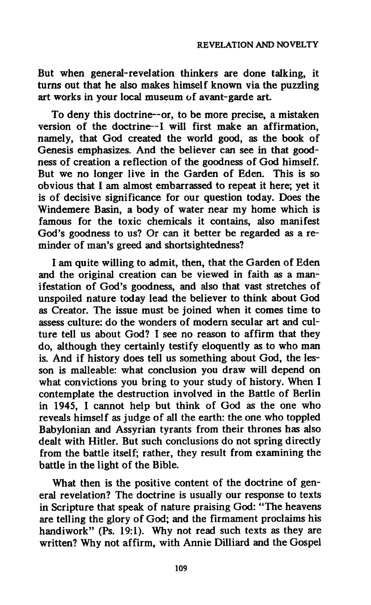**But when general-revelation thinkers are done talking, it turns out that he also makes himself known via the puzzling art works in your local museum of avant-garde art.** 

**To deny this doctrine—or, to be more precise, a mistaken version of the doctrine—I will first make an affirmation, namely, that God created the world good, as the book of Genesis emphasizes. And the believer can see in that goodness of creation a reflection of the goodness of God himself. But we no longer live in the Garden of Eden. This is so obvious that I am almost embarrassed to repeat it here; yet it is of decisive significance for our question today. Does the Windemere Basin, a body of water near my home which is famous for the toxic chemicals it contains, also manifest God's goodness to us? Or can it better be regarded as a reminder of man's greed and shortsightedness?** 

**I am quite willing to admit, then, that the Garden of Eden and the original creation can be viewed in faith as a manifestation of God's goodness, and also that vast stretches of unspoiled nature today lead the believer to think about God as Creator. The issue must be joined when it comes time to assess culture: do the wonders of modern secular art and culture tell us about God? I see no reason to affirm that they do, although they certainly testify eloquently as to who man is. And if history does tell us something about God, the lesson is malleable: what conclusion you draw will depend on what convictions you bring to your study of history. When I contemplate the destruction involved in the Battle of Berlin in 1945, I cannot help but think of God as the one who reveals himself as judge of all the earth: the one who toppled Babylonian and Assyrian tyrants from their thrones has also dealt with Hitler. But such conclusions do not spring directly from the battle itself; rather, they result from examining the battle in the light of the Bible.** 

**What then is the positive content of the doctrine of general revelation? The doctrine is usually our response to texts in Scripture that speak of nature praising God: "The heavens are telling the glory of God; and the firmament proclaims his handiwork" (Ps. 19:1). Why not read such texts as they are written? Why not affirm, with Annie Dilliard and the Gospel**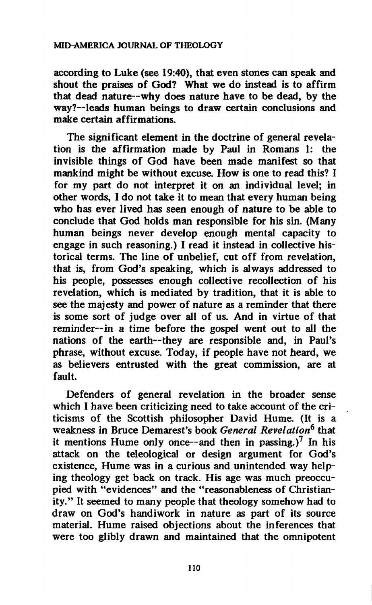**according to Luke (see 19:40), that even stones can speak and shout the praises of God? What we do instead is to affirm that dead nature—why does nature have to be dead, by the way?—leads human beings to draw certain conclusions and make certain affirmations.** 

**The significant element in the doctrine of general revelation is the affirmation made by Paul in Romans 1: the invisible things of God have been made manifest so that mankind might be without excuse. How is one to read this? I for my part do not interpret it on an individual level; in other words, I do not take it to mean that every human being who has ever lived has** *seen* **enough of nature to be able to conclude that God holds man responsible for his sin. (Many human beings never develop enough mental capacity to engage in such reasoning.) I read it instead in collective historical terms. The line of unbelief, cut off from revelation, that is, from God's speaking, which is always addressed to his people, possesses enough collective recollection of his revelation, which is mediated by tradition, that it is able to see the majesty and power of nature as a reminder that there is some sort of judge over all of us. And in virtue of that reminder—in a time before the gospel went out to all the nations of the earth—they are responsible and, in Paul's phrase, without excuse. Today, if people have not heard, we as believers entrusted with the great commission, are at fault.** 

**Defenders of general revelation in the broader sense which I have been criticizing need to take account of the criticisms of the Scottish philosopher David Hume. (It is a weakness in Bruce Demarest's book** *General Revelation<sup>6</sup>*  **that it mentions Hume only once—and then in passing.)<sup>7</sup> In his attack on the teleological or design argument for God's existence, Hume was in a curious and unintended way helping theology get back on track. His age was much preoccupied with "evidences" and the "reasonableness of Christianity." It seemed to many people that theology somehow had to draw on God's handiwork in nature as part of its source material. Hume raised objections about the inferences that were too glibly drawn and maintained that the omnipotent**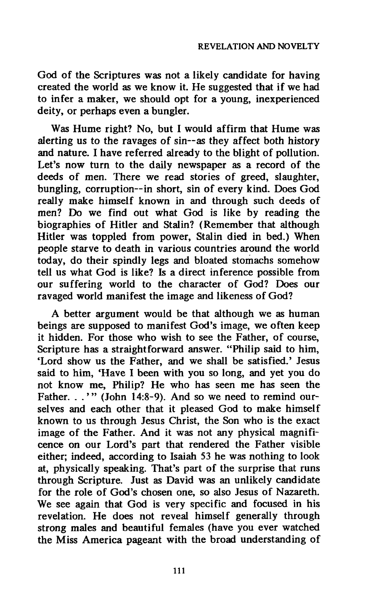**God of the Scriptures was not a likely candidate for having created the world as we know it. He suggested that if we had to infer a maker, we should opt for a young, inexperienced deity, or perhaps even a bungler.** 

**Was Hume right? No, but I would affirm that Hume was alerting us to the ravages of sin—as they affect both history and nature. I have referred already to the blight of pollution. Let's now turn to the daily newspaper as a record of the deeds of men. There we read stories of greed, slaughter, bungling, corruption—in short, sin of every kind. Does God really make himself known in and through such deeds of men? Do we find out what God is like by reading the biographies of Hitler and Stalin? (Remember that although Hitler was toppled from power, Stalin died in bed.) When people starve to death in various countries around the world today, do their spindly legs and bloated stomachs somehow tell us what God is like? Is a direct inference possible from our suffering world to the character of God? Does our ravaged world manifest the image and likeness of God?** 

**A better argument would be that although we as human beings are supposed to manifest God's image, we often keep it hidden. For those who wish to see the Father, of course, Scripture has a straightforward answer. "Philip said to him, 'Lord show us the Father, and we shall be satisfied.' Jesus said to him, 'Have I been with you so long, and yet you do not know me, Philip? He who has seen me has seen the Father. . .'" (John 14:8-9). And so we need to remind ourselves and each other that it pleased God to make himself known to us through Jesus Christ, the Son who is the exact image of the Father. And it was not any physical magnificence on our Lord's part that rendered the Father visible either; indeed, according to Isaiah 53 he was nothing to look at, physically speaking. That's part of the surprise that runs through Scripture. Just as David was an unlikely candidate for the role of God's chosen one, so also Jesus of Nazareth. We see again that God is very specific and focused in his revelation. He does not reveal himself generally through strong males and beautiful females (have you ever watched the Miss America pageant with the broad understanding of**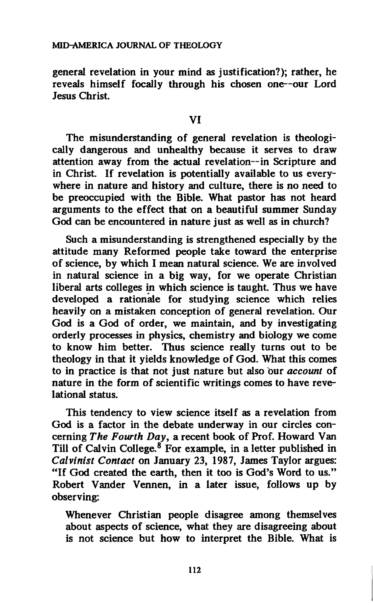**general revelation in your mind as justification?); rather, he reveals himself focally through his chosen one—our Lord Jesus Christ.** 

**The misunderstanding of general revelation is theologically dangerous and unhealthy because it serves to draw attention away from the actual revelation—in Scripture and in Christ. If revelation is potentially available to us everywhere in nature and history and culture, there is no need to be preoccupied with the Bible. What pastor has not heard arguments to the effect that on a beautiful summer Sunday God can be encountered in nature just as well as in church?** 

**Such a misunderstanding is strengthened especially by the attitude many Reformed people take toward the enterprise of science, by which I mean natural science. We are involved in natural science in a big way, for we operate Christian liberal arts colleges in which science is taught. Thus we have developed a rationale for studying science which relies heavily on a mistaken conception of general revelation. Our God is a God of order, we maintain, and by investigating orderly processes in physics, chemistry and biology we come to know him better. Thus science really turns out to be theology in that it yields knowledge of God. What this comes to in practice is that not just nature but also our** *account* **of nature in the form of scientific writings comes to have revelational status.** 

**This tendency to view science itself as a revelation from God is a factor in the debate underway in our circles concerning** *The Fourth Day,* **a recent book of Prof. Howard Van Till of Calvin College.<sup>8</sup> For example, in a letter published in**  *Calvinist Contact* **on January 23, 1987, James Taylor argues: "If God created the earth, then it too is God's Word to us." Robert Vander Vennen, in a later issue, follows up by observing:** 

**Whenever Christian people disagree among themselves about aspects of science, what they are disagreeing about is not science but how to interpret the Bible. What is**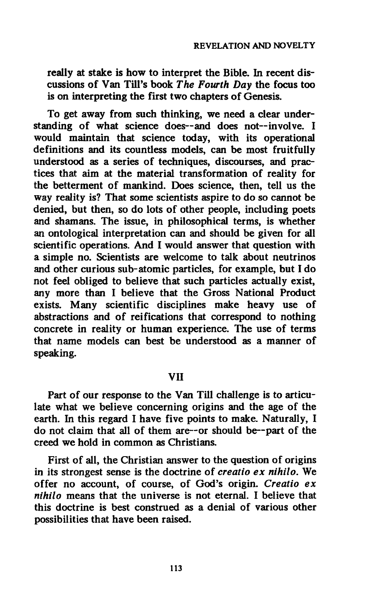**really at stake is how to interpret the Bible. In recent discussions of Van Till's book** *The Fourth Day* **the focus too is on interpreting the first two chapters of Genesis.** 

**To get away from such thinking, we need a clear understanding of what science does—and does not—involve. I would maintain that science today, with its operational definitions and its countless models, can be most fruitfully understood as a series of techniques, discourses, and practices that aim at the material transformation of reality for the betterment of mankind. Does science, then, tell us the way reality is? That some scientists aspire to do so cannot be denied, but then, so do lots of other people, including poets and shamans. The issue, in philosophical terms, is whether an ontological interpretation can and should be given for all scientific operations. And I would answer that question with a simple no. Scientists are welcome to talk about neutrinos and other curious sub-atomic particles, for example, but I do not feel obliged to believe that such particles actually exist, any more than I believe that the Gross National Product exists. Many scientific disciplines make heavy use of abstractions and of reifications that correspond to nothing concrete in reality or human experience. The use of terms that name models can best be understood as a manner of speaking.** 

### **VII**

**Part of our response to the Van Till challenge is to articulate what we believe concerning origins and the age of the earth. In this regard I have five points to make. Naturally, I do not claim that all of them are—or should be—part of the creed we hold in common as Christians.** 

**First of all, the Christian answer to the question of origins in its strongest sense is the doctrine of** *creatio ex nihilo.* **We offer no account, of course, of God's origin.** *Creatio ex nihilo* **means that the universe is not eternal. I believe that this doctrine is best construed as a denial of various other possibilities that have been raised.**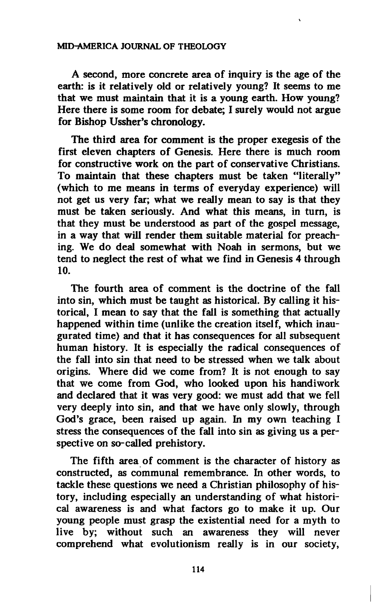### **MID-AMERICA JOURNAL OF THEOLOGY**

**A second, more concrete area of inquiry is the age of the earth: is it relatively old or relatively young? It seems to me that we must maintain that it is a young earth. How young? Here there is some room for debate; I surely would not argue for Bishop Ussher's chronology.** 

**The third area for comment is the proper exegesis of the first eleven chapters of Genesis. Here there is much room for constructive work on the part of conservative Christians. To maintain that these chapters must be taken "literally" (which to me means in terms of everyday experience) will not get us very far; what we really mean to say is that they must be taken seriously. And what this means, in turn, is that they must be understood as part of the gospel message, in a way that will render them suitable material for preaching. We do deal somewhat with Noah in sermons, but we tend to neglect the rest of what we find in Genesis 4 through 10.** 

**The fourth area of comment is the doctrine of the fall into sin, which must be taught as historical. By calling it historical, I mean to say that the fall is something that actually happened within time (unlike the creation itself, which inaugurated time) and that it has consequences for all subsequent human history. It is especially the radical consequences of the fall into sin that need to be stressed when we talk about origins. Where did we come from? It is not enough to say that we come from God, who looked upon his handiwork and declared that it was very good: we must add that we fell very deeply into sin, and that we have only slowly, through God's grace, been raised up again. In my own teaching I stress the consequences of the fall into sin as giving us a perspective on so-called prehistory.** 

**The fifth area of comment is the character of history as constructed, as communal remembrance. In other words, to tackle these questions we need a Christian philosophy of history, including especially an understanding of what historical awareness is and what factors go to make it up. Our young people must grasp the existential need for a myth to live by; without such an awareness they will never comprehend what evolutionism really is in our society,**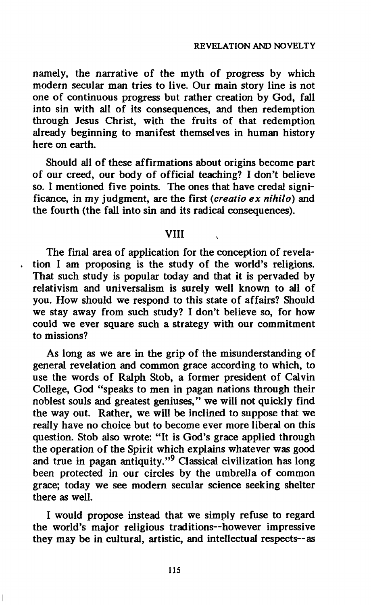**namely, the narrative of the myth of progress by which modern secular man tries to live. Our main story line is not one of continuous progress but rather creation by God, fall into sin with all of its consequences, and then redemption through Jesus Christ, with the fruits of that redemption already beginning to manifest themselves in human history here on earth.** 

**Should all of these affirmations about origins become part of our creed, our body of official teaching? I don't believe so. I mentioned five points. The ones that have credal significance, in my judgment, are the first** *(creatio ex nihilo)* **and the fourth (the fall into sin and its radical consequences).** 

### **VIII**

**The final area of application for the conception of revelation I am proposing is the study of the world's religions. That such study is popular today and that it is pervaded by relativism and universalism is surely well known to all of you. How should we respond to this state of affairs? Should we stay away from such study? I don't believe so, for how could we ever square such a strategy with our commitment to missions?** 

**As long as we are in the grip of the misunderstanding of general revelation and common grace according to which, to use the words of Ralph Stob, a former president of Calvin College, God "speaks to men in pagan nations through their noblest souls and greatest geniuses," we will not quickly find the way out. Rather, we will be inclined to suppose that we really have no choice but to become ever more liberal on this question. Stob also wrote: "It is God's grace applied through the operation of the Spirit which explains whatever was good and true in pagan antiquity."<sup>9</sup> Classical civilization has long been protected in our circles by the umbrella of common grace; today we see modern secular science seeking shelter there as well.** 

**I would propose instead that we simply refuse to regard the world's major religious traditions—however impressive they may be in cultural, artistic, and intellectual respects—as**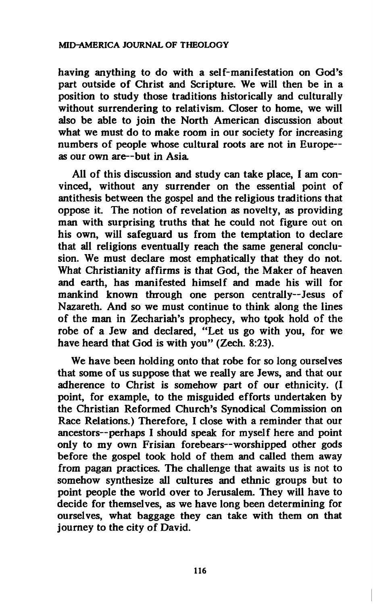**having anything to do with a self-manifestation on God's part outside of Christ and Scripture. We will then be in a position to study those traditions historically and culturally without surrendering to relativism. Closer to home, we will also be able to join the North American discussion about what we must do to make room in our society for increasing numbers of people whose cultural roots are not in Europeas our own are—but in Asia.** 

**All of this discussion and study can take place, I am convinced, without any surrender on the essential point of antithesis between the gospel and the religious traditions that oppose it. The notion of revelation as novelty, as providing man with surprising truths that he could not figure out on his own, will safeguard us from the temptation to declare that all religions eventually reach the same general conclusion. We must declare most emphatically that they do not. What Christianity affirms is that God, the Maker of heaven and earth, has manifested himself and made his will for mankind known through one person centrally—Jesus of Nazareth. And so we must continue to think along the lines of the man in Zechariah's prophecy, who tpok hold of the robe of a Jew and declared, "Let us go with you, for we have heard that God is with you" (Zech. 8:23).** 

**We have been holding onto that robe for so long ourselves that some of us suppose that we really are Jews, and that our adherence to Christ is somehow part of our ethnicity. (I point, for example, to the misguided efforts undertaken by the Christian Reformed Church's Synodical Commission on Race Relations.) Therefore, I close with a reminder that our ancestors—perhaps I should speak for myself here and point only to my own Frisian forebears—worshipped other gods before the gospel took hold of them and called them away from pagan practices. The challenge that awaits us is not to somehow synthesize all cultures and ethnic groups but to point people the world over to Jerusalem. They will have to decide for themselves, as we have long been determining for ourselves, what baggage they can take with them on that journey to the city of David.**